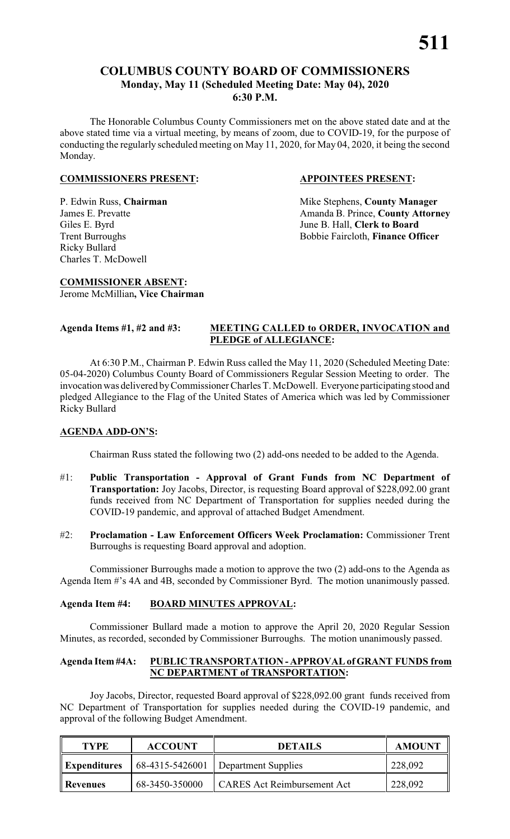#### **COLUMBUS COUNTY BOARD OF COMMISSIONERS Monday, May 11 (Scheduled Meeting Date: May 04), 2020 6:30 P.M.**

The Honorable Columbus County Commissioners met on the above stated date and at the above stated time via a virtual meeting, by means of zoom, due to COVID-19, for the purpose of conducting the regularly scheduled meeting on May 11, 2020, for May 04, 2020, it being the second Monday.

#### **COMMISSIONERS PRESENT: APPOINTEES PRESENT:**

# Ricky Bullard Charles T. McDowell

P. Edwin Russ, **Chairman** Mike Stephens, **County Manager**<br>James E. Prevatte **Manager** Amanda B. Prince, **County Attorn** Amanda B. Prince, **County Attorney** Giles E. Byrd<br>
Trent Burroughs<br>
Trent Burroughs<br>
Sobbie Faircloth, Finance Of Bobbie Faircloth, Finance Officer

#### **COMMISSIONER ABSENT:** Jerome McMillian**, Vice Chairman**

#### **Agenda Items #1, #2 and #3: MEETING CALLED to ORDER, INVOCATION and PLEDGE of ALLEGIANCE:**

At 6:30 P.M., Chairman P. Edwin Russ called the May 11, 2020 (Scheduled Meeting Date: 05-04-2020) Columbus County Board of Commissioners Regular Session Meeting to order. The invocation was delivered byCommissioner Charles T. McDowell. Everyone participating stood and pledged Allegiance to the Flag of the United States of America which was led by Commissioner Ricky Bullard

#### **AGENDA ADD-ON'S:**

Chairman Russ stated the following two (2) add-ons needed to be added to the Agenda.

- #1: **Public Transportation Approval of Grant Funds from NC Department of Transportation:** Joy Jacobs, Director, is requesting Board approval of \$228,092.00 grant funds received from NC Department of Transportation for supplies needed during the COVID-19 pandemic, and approval of attached Budget Amendment.
- #2: **Proclamation Law Enforcement Officers Week Proclamation:** Commissioner Trent Burroughs is requesting Board approval and adoption.

Commissioner Burroughs made a motion to approve the two (2) add-ons to the Agenda as Agenda Item #'s 4A and 4B, seconded by Commissioner Byrd. The motion unanimously passed.

#### **Agenda Item #4: BOARD MINUTES APPROVAL:**

Commissioner Bullard made a motion to approve the April 20, 2020 Regular Session Minutes, as recorded, seconded by Commissioner Burroughs. The motion unanimously passed.

#### **Agenda Item #4A: PUBLIC TRANSPORTATION - APPROVAL of GRANT FUNDS from NC DEPARTMENT of TRANSPORTATION:**

Joy Jacobs, Director, requested Board approval of \$228,092.00 grant funds received from NC Department of Transportation for supplies needed during the COVID-19 pandemic, and approval of the following Budget Amendment.

| <b>TYPE</b>         | <b>ACCOUNT</b> | <b>DETAILS</b>                        | <b>AMOUNT</b> |
|---------------------|----------------|---------------------------------------|---------------|
| <b>Expenditures</b> |                | 68-4315-5426001   Department Supplies | 228,092       |
| <b>Revenues</b>     | 68-3450-350000 | <b>CARES Act Reimbursement Act</b>    | 228,092       |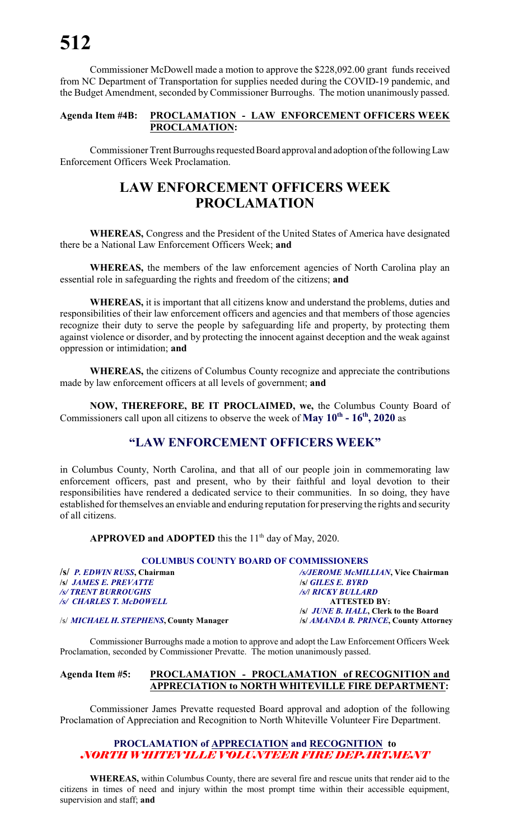Commissioner McDowell made a motion to approve the \$228,092.00 grant funds received from NC Department of Transportation for supplies needed during the COVID-19 pandemic, and the Budget Amendment, seconded by Commissioner Burroughs. The motion unanimously passed.

#### **Agenda Item #4B: PROCLAMATION - LAW ENFORCEMENT OFFICERS WEEK PROCLAMATION:**

Commissioner Trent Burroughs requested Board approval and adoption ofthe followingLaw Enforcement Officers Week Proclamation.

### **LAW ENFORCEMENT OFFICERS WEEK PROCLAMATION**

**WHEREAS,** Congress and the President of the United States of America have designated there be a National Law Enforcement Officers Week; **and**

**WHEREAS,** the members of the law enforcement agencies of North Carolina play an essential role in safeguarding the rights and freedom of the citizens; **and**

**WHEREAS,** it is important that all citizens know and understand the problems, duties and responsibilities of their law enforcement officers and agencies and that members of those agencies recognize their duty to serve the people by safeguarding life and property, by protecting them against violence or disorder, and by protecting the innocent against deception and the weak against oppression or intimidation; **and**

**WHEREAS,** the citizens of Columbus County recognize and appreciate the contributions made by law enforcement officers at all levels of government; **and**

**NOW, THEREFORE, BE IT PROCLAIMED, we,** the Columbus County Board of Commissioners call upon all citizens to observe the week of **May 10th - 16th , 2020** as

### **"LAW ENFORCEMENT OFFICERS WEEK"**

in Columbus County, North Carolina, and that all of our people join in commemorating law enforcement officers, past and present, who by their faithful and loyal devotion to their responsibilities have rendered a dedicated service to their communities. In so doing, they have established for themselves an enviable and enduring reputation for preserving the rights and security of all citizens.

**APPROVED and ADOPTED** this the  $11<sup>th</sup>$  day of May, 2020.

#### **COLUMBUS COUNTY BOARD OF COMMISSIONERS**

| /s/ P. EDWIN RUSS, Chairman  | <b>/s/JEROME McMILLI</b>         |
|------------------------------|----------------------------------|
| <i>Isi James E. Prevatte</i> | <i>S GILES E. BYRD</i>           |
| /s/ TRENT BURROUGHS          | <b><i>Is/I RICKY BULLARD</i></b> |
| /s/ CHARLES T. McDOWELL      | <b>ATTESTED</b>                  |
|                              | <b>SUMMER HALL C</b>             |

**/s/** *P. EDWIN RUSS***, Chairman** */s/JEROME McMILLIAN***, Vice Chairman** *(FESTED BY:* **/s/** *JUNE B. HALL***, Clerk to the Board**

/s/ *MICHAEL H. STEPHENS***, County Manager /s/** *AMANDA B. PRINCE***, County Attorney**

Commissioner Burroughs made a motion to approve and adopt the Law Enforcement Officers Week Proclamation, seconded by Commissioner Prevatte. The motion unanimously passed.

#### **Agenda Item #5: PROCLAMATION - PROCLAMATION of RECOGNITION and APPRECIATION to NORTH WHITEVILLE FIRE DEPARTMENT:**

Commissioner James Prevatte requested Board approval and adoption of the following Proclamation of Appreciation and Recognition to North Whiteville Volunteer Fire Department.

#### **PROCLAMATION of APPRECIATION and RECOGNITION to** *NORTH WHITEVILLE VOLUNTEER FIRE DEPARTMENT*

**WHEREAS,** within Columbus County, there are several fire and rescue units that render aid to the citizens in times of need and injury within the most prompt time within their accessible equipment, supervision and staff; **and**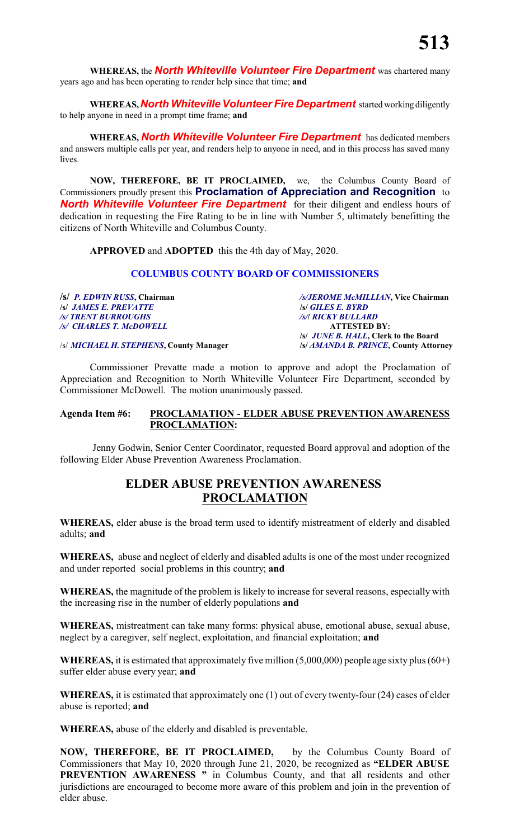**WHEREAS,** the *North Whiteville Volunteer Fire Department* was chartered many years ago and has been operating to render help since that time; **and**

**WHEREAS, North Whiteville Volunteer Fire Department** started working diligently to help anyone in need in a prompt time frame; **and**

**WHEREAS,** *North Whiteville Volunteer Fire Department* has dedicated members and answers multiple calls per year, and renders help to anyone in need, and in this process has saved many lives.

**NOW, THEREFORE, BE IT PROCLAIMED,** we, the Columbus County Board of Commissioners proudly present this **Proclamation of Appreciation and Recognition** to *North Whiteville Volunteer Fire Department* for their diligent and endless hours of dedication in requesting the Fire Rating to be in line with Number 5, ultimately benefitting the citizens of North Whiteville and Columbus County.

**APPROVED** and **ADOPTED** this the 4th day of May, 2020.

#### **COLUMBUS COUNTY BOARD OF COMMISSIONERS**

**/s/** *JAMES E. PREVATTE* **/s/** *GILES E. BYRD /s/ TRENT BURROUGHS /s/***/** *RICKY BULLARD /s/ CHARLES T. McDOWELL* **ATTESTED BY:**

**/s/** *P. EDWIN RUSS***, Chairman** */s/JEROME McMILLIAN***, Vice Chairman /s/** *JUNE B. HALL***, Clerk to the Board**

/s/ *MICHAEL H. STEPHENS***, County Manager /s/** *AMANDA B. PRINCE***, County Attorney**

Commissioner Prevatte made a motion to approve and adopt the Proclamation of Appreciation and Recognition to North Whiteville Volunteer Fire Department, seconded by Commissioner McDowell. The motion unanimously passed.

#### **Agenda Item #6: PROCLAMATION - ELDER ABUSE PREVENTION AWARENESS PROCLAMATION:**

Jenny Godwin, Senior Center Coordinator, requested Board approval and adoption of the following Elder Abuse Prevention Awareness Proclamation.

### **ELDER ABUSE PREVENTION AWARENESS PROCLAMATION**

**WHEREAS,** elder abuse is the broad term used to identify mistreatment of elderly and disabled adults; **and**

**WHEREAS,** abuse and neglect of elderly and disabled adults is one of the most under recognized and under reported social problems in this country; **and**

**WHEREAS,** the magnitude of the problem is likely to increase for several reasons, especially with the increasing rise in the number of elderly populations **and**

**WHEREAS,** mistreatment can take many forms: physical abuse, emotional abuse, sexual abuse, neglect by a caregiver, self neglect, exploitation, and financial exploitation; **and**

**WHEREAS,** it is estimated that approximately five million (5,000,000) people age sixty plus (60+) suffer elder abuse every year; **and**

**WHEREAS,** it is estimated that approximately one (1) out of every twenty-four (24) cases of elder abuse is reported; **and**

**WHEREAS,** abuse of the elderly and disabled is preventable.

**NOW, THEREFORE, BE IT PROCLAIMED,** by the Columbus County Board of Commissioners that May 10, 2020 through June 21, 2020, be recognized as **"ELDER ABUSE PREVENTION AWARENESS "** in Columbus County, and that all residents and other jurisdictions are encouraged to become more aware of this problem and join in the prevention of elder abuse.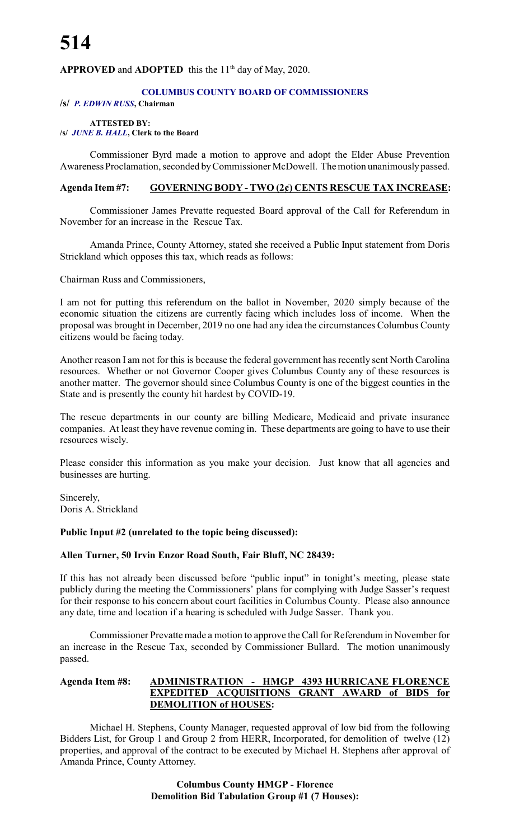#### APPROVED and ADOPTED this the 11<sup>th</sup> day of May, 2020.

#### **COLUMBUS COUNTY BOARD OF COMMISSIONERS**

#### **/s/** *P. EDWIN RUSS***, Chairman**

**ATTESTED BY:**

**/s/** *JUNE B. HALL***, Clerk to the Board**

Commissioner Byrd made a motion to approve and adopt the Elder Abuse Prevention Awareness Proclamation, seconded byCommissioner McDowell. The motion unanimouslypassed.

#### **Agenda Item #7: GOVERNING BODY - TWO (2¢) CENTS RESCUE TAX INCREASE:**

Commissioner James Prevatte requested Board approval of the Call for Referendum in November for an increase in the Rescue Tax.

Amanda Prince, County Attorney, stated she received a Public Input statement from Doris Strickland which opposes this tax, which reads as follows:

Chairman Russ and Commissioners,

I am not for putting this referendum on the ballot in November, 2020 simply because of the economic situation the citizens are currently facing which includes loss of income. When the proposal was brought in December, 2019 no one had any idea the circumstances Columbus County citizens would be facing today.

Another reason I am not for this is because the federal government has recently sent North Carolina resources. Whether or not Governor Cooper gives Columbus County any of these resources is another matter. The governor should since Columbus County is one of the biggest counties in the State and is presently the county hit hardest by COVID-19.

The rescue departments in our county are billing Medicare, Medicaid and private insurance companies. At least they have revenue coming in. These departments are going to have to use their resources wisely.

Please consider this information as you make your decision. Just know that all agencies and businesses are hurting.

Sincerely, Doris A. Strickland

#### **Public Input #2 (unrelated to the topic being discussed):**

#### **Allen Turner, 50 Irvin Enzor Road South, Fair Bluff, NC 28439:**

If this has not already been discussed before "public input" in tonight's meeting, please state publicly during the meeting the Commissioners' plans for complying with Judge Sasser's request for their response to his concern about court facilities in Columbus County. Please also announce any date, time and location if a hearing is scheduled with Judge Sasser. Thank you.

Commissioner Prevatte made a motion to approve the Call for Referendum in November for an increase in the Rescue Tax, seconded by Commissioner Bullard. The motion unanimously passed.

#### **Agenda Item #8: ADMINISTRATION - HMGP 4393 HURRICANE FLORENCE EXPEDITED ACQUISITIONS GRANT AWARD of BIDS for DEMOLITION of HOUSES:**

Michael H. Stephens, County Manager, requested approval of low bid from the following Bidders List, for Group 1 and Group 2 from HERR, Incorporated, for demolition of twelve (12) properties, and approval of the contract to be executed by Michael H. Stephens after approval of Amanda Prince, County Attorney.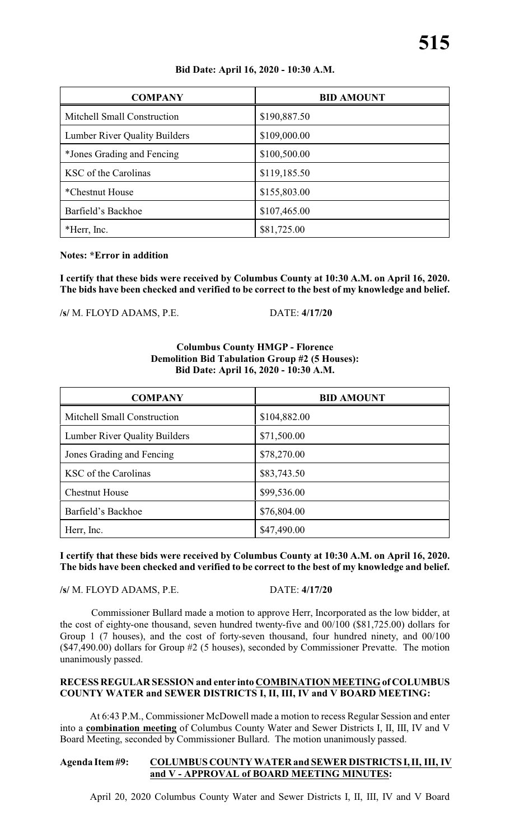#### **Bid Date: April 16, 2020 - 10:30 A.M.**

| <b>COMPANY</b>                       | <b>BID AMOUNT</b> |
|--------------------------------------|-------------------|
| Mitchell Small Construction          | \$190,887.50      |
| <b>Lumber River Quality Builders</b> | \$109,000.00      |
| *Jones Grading and Fencing           | \$100,500.00      |
| KSC of the Carolinas                 | \$119,185.50      |
| *Chestnut House                      | \$155,803.00      |
| Barfield's Backhoe                   | \$107,465.00      |
| *Herr, Inc.                          | \$81,725.00       |

#### **Notes: \*Error in addition**

**I certify that these bids were received by Columbus County at 10:30 A.M. on April 16, 2020. The bids have been checked and verified to be correct to the best of my knowledge and belief.**

**/s/** M. FLOYD ADAMS, P.E. DATE: **4/17/20**

#### **Columbus County HMGP - Florence Demolition Bid Tabulation Group #2 (5 Houses): Bid Date: April 16, 2020 - 10:30 A.M.**

| <b>COMPANY</b>                       | <b>BID AMOUNT</b> |
|--------------------------------------|-------------------|
| Mitchell Small Construction          | \$104,882.00      |
| <b>Lumber River Quality Builders</b> | \$71,500.00       |
| Jones Grading and Fencing            | \$78,270.00       |
| KSC of the Carolinas                 | \$83,743.50       |
| <b>Chestnut House</b>                | \$99,536.00       |
| Barfield's Backhoe                   | \$76,804.00       |
| Herr, Inc.                           | \$47,490.00       |

**I certify that these bids were received by Columbus County at 10:30 A.M. on April 16, 2020. The bids have been checked and verified to be correct to the best of my knowledge and belief.**

**/s/** M. FLOYD ADAMS, P.E. DATE: **4/17/20**

Commissioner Bullard made a motion to approve Herr, Incorporated as the low bidder, at the cost of eighty-one thousand, seven hundred twenty-five and 00/100 (\$81,725.00) dollars for Group 1 (7 houses), and the cost of forty-seven thousand, four hundred ninety, and 00/100 (\$47,490.00) dollars for Group #2 (5 houses), seconded by Commissioner Prevatte. The motion unanimously passed.

#### **RECESS REGULAR SESSION and enter into COMBINATION MEETING of COLUMBUS COUNTY WATER and SEWER DISTRICTS I, II, III, IV and V BOARD MEETING:**

At 6:43 P.M., Commissioner McDowell made a motion to recess Regular Session and enter into a **combination meeting** of Columbus County Water and Sewer Districts I, II, III, IV and V Board Meeting, seconded by Commissioner Bullard. The motion unanimously passed.

#### **Agenda Item#9: COLUMBUS COUNTY WATER and SEWER DISTRICTS I, II, III, IV and V - APPROVAL of BOARD MEETING MINUTES:**

April 20, 2020 Columbus County Water and Sewer Districts I, II, III, IV and V Board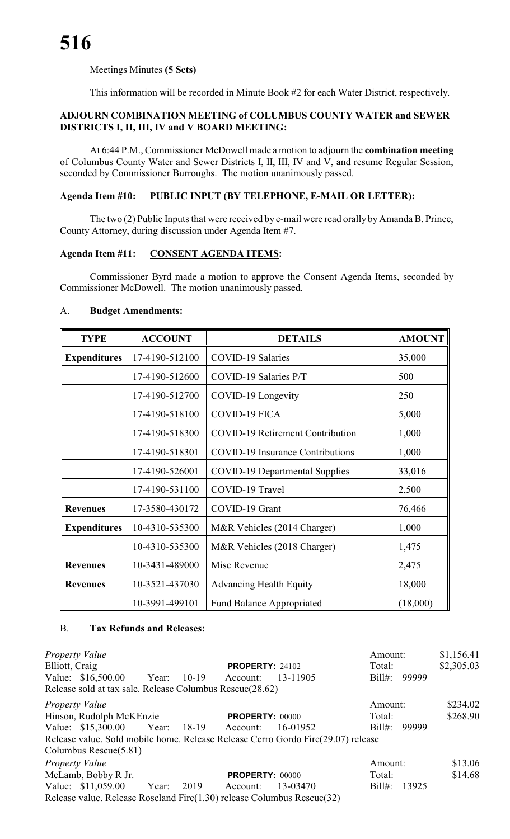Meetings Minutes **(5 Sets)**

This information will be recorded in Minute Book #2 for each Water District, respectively.

#### **ADJOURN COMBINATION MEETING of COLUMBUS COUNTY WATER and SEWER DISTRICTS I, II, III, IV and V BOARD MEETING:**

At 6:44 P.M., Commissioner McDowell made a motion to adjourn the **combination meeting** of Columbus County Water and Sewer Districts I, II, III, IV and V, and resume Regular Session, seconded by Commissioner Burroughs. The motion unanimously passed.

#### **Agenda Item #10: PUBLIC INPUT (BY TELEPHONE, E-MAIL OR LETTER):**

The two (2) Public Inputs that were received by e-mail were read orally by Amanda B. Prince, County Attorney, during discussion under Agenda Item #7.

#### **Agenda Item #11: CONSENT AGENDA ITEMS:**

Commissioner Byrd made a motion to approve the Consent Agenda Items, seconded by Commissioner McDowell. The motion unanimously passed.

#### A. **Budget Amendments:**

| <b>TYPE</b>         | <b>ACCOUNT</b> | <b>DETAILS</b>                          | <b>AMOUNT</b> |
|---------------------|----------------|-----------------------------------------|---------------|
| <b>Expenditures</b> | 17-4190-512100 | <b>COVID-19 Salaries</b>                | 35,000        |
|                     | 17-4190-512600 | COVID-19 Salaries P/T                   | 500           |
|                     | 17-4190-512700 | COVID-19 Longevity                      | 250           |
|                     | 17-4190-518100 | COVID-19 FICA                           | 5,000         |
|                     | 17-4190-518300 | <b>COVID-19 Retirement Contribution</b> | 1,000         |
|                     | 17-4190-518301 | <b>COVID-19 Insurance Contributions</b> | 1,000         |
|                     | 17-4190-526001 | <b>COVID-19 Departmental Supplies</b>   | 33,016        |
|                     | 17-4190-531100 | COVID-19 Travel                         | 2,500         |
| <b>Revenues</b>     | 17-3580-430172 | COVID-19 Grant                          | 76,466        |
| <b>Expenditures</b> | 10-4310-535300 | M&R Vehicles (2014 Charger)             | 1,000         |
|                     | 10-4310-535300 | M&R Vehicles (2018 Charger)             | 1,475         |
| <b>Revenues</b>     | 10-3431-489000 | Misc Revenue                            | 2,475         |
| <b>Revenues</b>     | 10-3521-437030 | <b>Advancing Health Equity</b>          | 18,000        |
|                     | 10-3991-499101 | <b>Fund Balance Appropriated</b>        | (18,000)      |

#### B. **Tax Refunds and Releases:**

*Property Value* \$1,156.41 Elliott, Craig **PROPERTY:** 24102 Total: \$2,305.03 Value: \$16,500.00 Year: 10-19 Account: 13-11905 Bill#: 99999 Release sold at tax sale. Release Columbus Rescue(28.62) *Property Value* Amount: \$234.02 Hinson, Rudolph McKEnzie **PROPERTY:** 00000 Total: \$268.90 Value: \$15,300.00 Year: 18-19 Account: 16-01952 Bill#: 99999 Release value. Sold mobile home. Release Release Cerro Gordo Fire(29.07) release Columbus Rescue(5.81) *Property Value* \$13.06 McLamb, Bobby R Jr. **PROPERTY:** 00000 Total: \$14.68 Value: \$11,059.00 Year: 2019 Account: 13-03470 Bill#: 13925 Release value. Release Roseland Fire(1.30) release Columbus Rescue(32)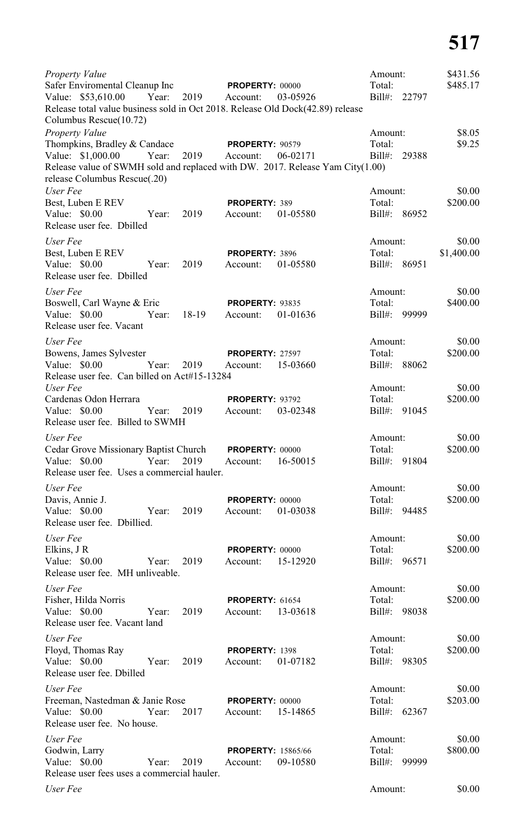| Property Value                                                                                                  | \$431.56<br>Amount:                   |        |
|-----------------------------------------------------------------------------------------------------------------|---------------------------------------|--------|
| Safer Enviromental Cleanup Inc<br><b>PROPERTY: 00000</b><br>Value: \$53,610.00 Year: 2019 Account:<br>03-05926  | Total:<br>\$485.17<br>Bill#: 22797    |        |
| Release total value business sold in Oct 2018. Release Old Dock(42.89) release<br>Columbus Rescue(10.72)        |                                       |        |
| Property Value                                                                                                  | Amount:                               | \$8.05 |
| Thompkins, Bradley & Candace <b>PROPERTY</b> : 90579<br>Value: \$1,000.00 Year: 2019 Account:<br>06-02171       | Total:<br>Bill#:<br>29388             | \$9.25 |
| Release value of SWMH sold and replaced with DW. 2017. Release Yam City(1.00)                                   |                                       |        |
| release Columbus Rescue(.20)                                                                                    |                                       |        |
| User Fee                                                                                                        | Amount:                               | \$0.00 |
| Best, Luben E REV<br><b>PROPERTY: 389</b>                                                                       | \$200.00<br>Total:                    |        |
| Value: \$0.00<br>Year:<br>2019<br>01-05580<br>Account:<br>Release user fee. Dbilled                             | Bill#: 86952                          |        |
| User Fee                                                                                                        | Amount:                               | \$0.00 |
| Best, Luben E REV<br>PROPERTY: 3896                                                                             | \$1,400.00<br>Total:                  |        |
| Value: \$0.00<br>2019<br>Year:<br>01-05580<br>Account:                                                          | Bill#: 86951                          |        |
| Release user fee. Dbilled                                                                                       |                                       |        |
| User Fee                                                                                                        | Amount:                               | \$0.00 |
| Boswell, Carl Wayne & Eric<br><b>PROPERTY: 93835</b><br>Value: \$0.00<br>Year: 18-19 Account:<br>01-01636       | \$400.00<br>Total:<br>Bill#: 99999    |        |
| Release user fee. Vacant                                                                                        |                                       |        |
| User Fee                                                                                                        | Amount:                               | \$0.00 |
| Bowens, James Sylvester<br><b>PROPERTY: 27597</b>                                                               | \$200.00<br>Total:                    |        |
| Year:<br>Value: \$0.00<br>2019 Account:<br>15-03660                                                             | Bill#: 88062                          |        |
| Release user fee. Can billed on Act#15-13284                                                                    |                                       |        |
| User Fee<br>Cardenas Odon Herrara<br><b>PROPERTY: 93792</b>                                                     | Amount:<br>\$200.00<br>Total:         | \$0.00 |
| Value: \$0.00<br>Year:<br>2019<br>03-02348<br>Account:                                                          | Bill#: 91045                          |        |
| Release user fee. Billed to SWMH                                                                                |                                       |        |
| User Fee                                                                                                        | Amount:                               | \$0.00 |
| Cedar Grove Missionary Baptist Church PROPERTY: 00000<br>2019<br>Value: \$0.00<br>Year:<br>Account:<br>16-50015 | \$200.00<br>Total:<br>Bill#:<br>91804 |        |
| Release user fee. Uses a commercial hauler.                                                                     |                                       |        |
| User Fee                                                                                                        | Amount:                               | \$0.00 |
| Davis, Annie J.<br><b>PROPERTY: 00000</b>                                                                       | \$200.00<br>Total:                    |        |
| Value: \$0.00<br>2019<br>01-03038<br>Year:<br>Account:                                                          | Bill#: 94485                          |        |
| Release user fee. Dbillied.                                                                                     |                                       |        |
| User Fee                                                                                                        | Amount:                               | \$0.00 |
| Elkins, J R<br><b>PROPERTY: 00000</b><br>Value: \$0.00<br>2019<br>15-12920<br>Year:<br>Account:                 | Total:<br>\$200.00<br>Bill#: 96571    |        |
| Release user fee. MH unliveable.                                                                                |                                       |        |
| User Fee                                                                                                        | Amount:                               | \$0.00 |
| Fisher, Hilda Norris<br><b>PROPERTY: 61654</b>                                                                  | Total:<br>\$200.00                    |        |
| Value: $$0.00$<br>2019<br>13-03618<br>Year:<br>Account:<br>Release user fee. Vacant land                        | Bill#: 98038                          |        |
| User Fee                                                                                                        | Amount:                               | \$0.00 |
| Floyd, Thomas Ray<br>PROPERTY: 1398                                                                             | \$200.00<br>Total:                    |        |
| Value: \$0.00<br>Year:<br>2019<br>Account:<br>01-07182<br>Release user fee. Dbilled                             | Bill#:<br>98305                       |        |
|                                                                                                                 |                                       |        |
| User Fee<br>Freeman, Nastedman & Janie Rose<br><b>PROPERTY: 00000</b>                                           | Amount:<br>\$203.00<br>Total:         | \$0.00 |
| Value: \$0.00<br>2017<br>Year:<br>15-14865<br>Account:                                                          | Bill#: 62367                          |        |
| Release user fee. No house.                                                                                     |                                       |        |
| User Fee                                                                                                        | Amount:                               | \$0.00 |
| Godwin, Larry<br><b>PROPERTY: 15865/66</b>                                                                      | \$800.00<br>Total:                    |        |
| Value: \$0.00<br>Year:<br>2019<br>09-10580<br>Account:                                                          | Bill#:<br>99999                       |        |
| Release user fees uses a commercial hauler.                                                                     |                                       |        |
| User Fee                                                                                                        | Amount:                               | \$0.00 |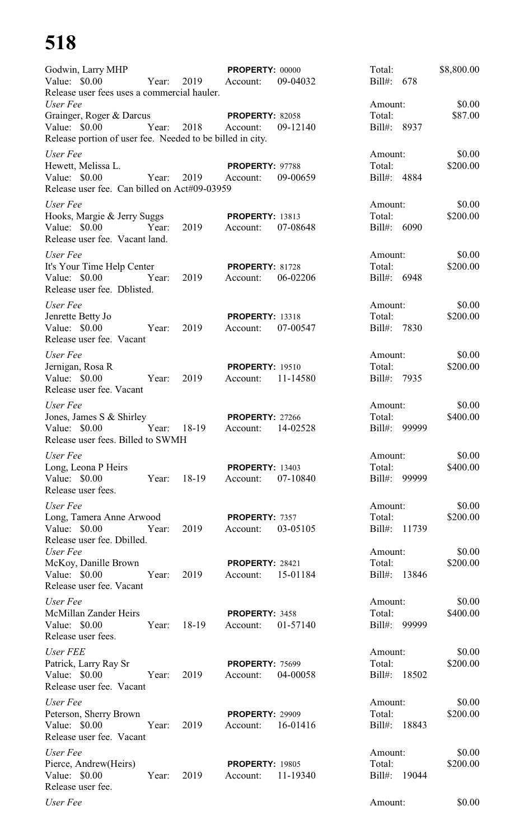## **518**

| Godwin, Larry MHP                                             |               | <b>PROPERTY: 00000</b>             |          | Total:                 | \$8,800.00 |
|---------------------------------------------------------------|---------------|------------------------------------|----------|------------------------|------------|
| Value: \$0.00<br>Release user fees uses a commercial hauler.  | Year: 2019    | Account:                           | 09-04032 | Bill#: 678             |            |
| User Fee                                                      |               |                                    |          | Amount:                | \$0.00     |
| Grainger, Roger & Darcus<br>Value: \$0.00                     | Year:<br>2018 | <b>PROPERTY: 82058</b><br>Account: | 09-12140 | Total:<br>Bill#: 8937  | \$87.00    |
| Release portion of user fee. Needed to be billed in city.     |               |                                    |          |                        |            |
| User Fee                                                      |               |                                    |          | Amount:                | \$0.00     |
| Hewett, Melissa L.                                            |               | PROPERTY: 97788                    |          | Total:                 | \$200.00   |
| Value: \$0.00<br>Release user fee. Can billed on Act#09-03959 | 2019<br>Year: | Account:                           | 09-00659 | Bill#: 4884            |            |
| User Fee                                                      |               |                                    |          | Amount:                | \$0.00     |
| Hooks, Margie & Jerry Suggs                                   |               | <b>PROPERTY: 13813</b>             |          | Total:                 | \$200.00   |
| Value: \$0.00<br>Year:<br>Release user fee. Vacant land.      | 2019          | Account:                           | 07-08648 | Bill#: 6090            |            |
| User Fee                                                      |               |                                    |          | Amount:                | \$0.00     |
| It's Your Time Help Center                                    |               | PROPERTY: 81728                    |          | Total:                 | \$200.00   |
| Value: \$0.00<br>Year:<br>Release user fee. Dblisted.         | 2019          | Account:                           | 06-02206 | Bill#: 6948            |            |
| User Fee                                                      |               |                                    |          | Amount:                | \$0.00     |
| Jenrette Betty Jo                                             |               | <b>PROPERTY: 13318</b>             |          | Total:                 | \$200.00   |
| Value: \$0.00<br>Year:<br>Release user fee. Vacant            | 2019          | Account:                           | 07-00547 | Bill#: 7830            |            |
| User Fee                                                      |               |                                    |          | Amount:                | \$0.00     |
| Jernigan, Rosa R                                              |               | <b>PROPERTY: 19510</b>             |          | Total:                 | \$200.00   |
| Value: \$0.00<br>Release user fee. Vacant                     | 2019<br>Year: | Account:                           | 11-14580 | Bill#: 7935            |            |
| User Fee                                                      |               |                                    |          | Amount:                | \$0.00     |
| Jones, James S & Shirley                                      |               | <b>PROPERTY: 27266</b>             |          | Total:                 | \$400.00   |
| Value: \$0.00<br>Year:<br>Release user fees. Billed to SWMH   | 18-19         | Account:                           | 14-02528 | Bill#: 99999           |            |
| User Fee                                                      |               |                                    |          | Amount:                | \$0.00     |
| Long, Leona P Heirs                                           |               | <b>PROPERTY: 13403</b>             |          | Total:                 | \$400.00   |
| Value: $$0.00$<br>Release user fees.                          | Year: 18-19   | Account:                           | 07-10840 | Bill#: 99999           |            |
| User Fee                                                      |               |                                    |          | Amount:                | \$0.00     |
| Long, Tamera Anne Arwood                                      |               | PROPERTY: 7357                     |          | Total:                 | \$200.00   |
| Value: $$0.00$<br>Release user fee. Dbilled.                  | Year:<br>2019 | Account:                           | 03-05105 | Bill#: 11739           |            |
| User Fee                                                      |               |                                    |          | Amount:                | \$0.00     |
| McKoy, Danille Brown<br>Value: \$0.00                         | Year:<br>2019 | <b>PROPERTY: 28421</b><br>Account: | 15-01184 | Total:<br>Bill#: 13846 | \$200.00   |
| Release user fee. Vacant                                      |               |                                    |          |                        |            |
| User Fee                                                      |               |                                    |          | Amount:                | \$0.00     |
| McMillan Zander Heirs                                         |               | PROPERTY: 3458                     |          | Total:                 | \$400.00   |
| Value: \$0.00<br>Release user fees.                           | Year: 18-19   | Account:                           | 01-57140 | Bill#: 99999           |            |
| User FEE                                                      |               |                                    |          | Amount:                | \$0.00     |
| Patrick, Larry Ray Sr                                         |               | <b>PROPERTY: 75699</b>             |          | Total:                 | \$200.00   |
| Value: \$0.00<br>Year:<br>Release user fee. Vacant            | 2019          | Account:                           | 04-00058 | Bill#: 18502           |            |
| User Fee                                                      |               |                                    |          | Amount:                | \$0.00     |
| Peterson, Sherry Brown                                        |               | <b>PROPERTY: 29909</b>             |          | Total:                 | \$200.00   |
| Value: \$0.00<br>Release user fee. Vacant                     | Year:<br>2019 | Account:                           | 16-01416 | Bill#: 18843           |            |
| User Fee                                                      |               |                                    |          | Amount:                | \$0.00     |
| Pierce, Andrew(Heirs)                                         |               | <b>PROPERTY: 19805</b>             |          | Total:                 | \$200.00   |
| Value: \$0.00<br>Release user fee.                            | Year:<br>2019 | Account:                           | 11-19340 | Bill#: 19044           |            |
| User Fee                                                      |               |                                    |          | Amount:                | \$0.00     |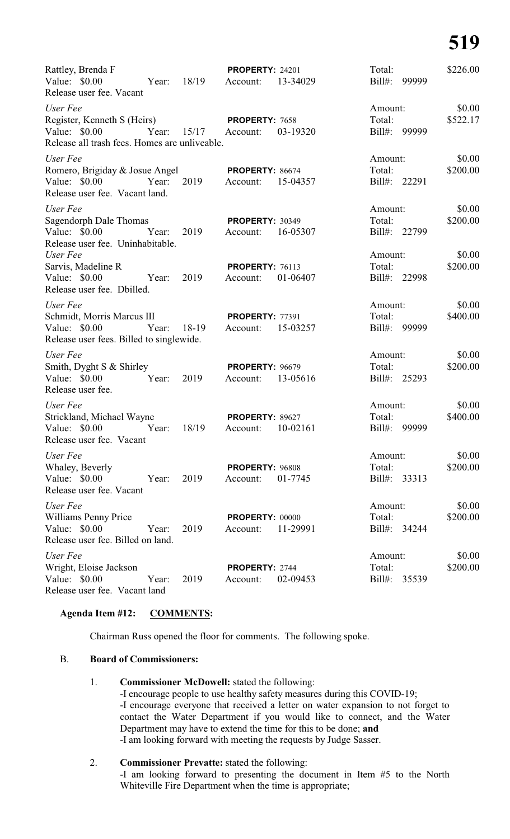## **519**

| Rattley, Brenda F<br>Value: \$0.00<br>Release user fee. Vacant                                                                                                                              | Year: 18/19  | <b>PROPERTY: 24201</b><br>13-34029<br>Account:                                                   | Total:<br>$Bill#$ :<br>99999                                                 | \$226.00                                 |
|---------------------------------------------------------------------------------------------------------------------------------------------------------------------------------------------|--------------|--------------------------------------------------------------------------------------------------|------------------------------------------------------------------------------|------------------------------------------|
| User Fee<br>Register, Kenneth S (Heirs)<br>Value: \$0.00<br>Year:<br>Release all trash fees. Homes are unliveable.                                                                          |              | PROPERTY: 7658<br>$15/17$ Account:<br>03-19320                                                   | Amount:<br>Total:<br>$Bill#$ :<br>99999                                      | \$0.00<br>\$522.17                       |
| User Fee<br>Romero, Brigiday & Josue Angel<br>Value: $$0.00$<br>Year:<br>Release user fee. Vacant land.                                                                                     | 2019         | <b>PROPERTY: 86674</b><br>15-04357<br>Account:                                                   | Amount:<br>Total:<br>Bill#: 22291                                            | \$0.00<br>\$200.00                       |
| User Fee<br>Sagendorph Dale Thomas<br>Value: $$0.00$<br>Year:<br>Release user fee. Uninhabitable.<br>User Fee<br>Sarvis, Madeline R<br>Value: \$0.00<br>Year:<br>Release user fee. Dbilled. | 2019<br>2019 | <b>PROPERTY: 30349</b><br>16-05307<br>Account:<br><b>PROPERTY: 76113</b><br>01-06407<br>Account: | Amount:<br>Total:<br>Bill#: 22799<br>Amount:<br>Total:<br>$Bill#$ :<br>22998 | \$0.00<br>\$200.00<br>\$0.00<br>\$200.00 |
| User Fee<br>Schmidt, Morris Marcus III<br>Value: \$0.00<br>Year:<br>Release user fees. Billed to singlewide.                                                                                | 18-19        | <b>PROPERTY: 77391</b><br>15-03257<br>Account:                                                   | Amount:<br>Total:<br>$Bill#$ :<br>99999                                      | \$0.00<br>\$400.00                       |
| User Fee<br>Smith, Dyght S & Shirley<br>Value: \$0.00<br>Year:<br>Release user fee.                                                                                                         | 2019         | <b>PROPERTY: 96679</b><br>13-05616<br>Account:                                                   | Amount:<br>Total:<br>$Bill#$ :<br>25293                                      | \$0.00<br>\$200.00                       |
| User Fee<br>Strickland, Michael Wayne<br>Value: \$0.00<br>Year:<br>Release user fee. Vacant                                                                                                 | 18/19        | PROPERTY: 89627<br>10-02161<br>Account:                                                          | Amount:<br>Total:<br>$Bill#$ :<br>99999                                      | \$0.00<br>\$400.00                       |
| User Fee<br>Whaley, Beverly<br>Value: \$0.00<br>Year:<br>Release user fee. Vacant                                                                                                           | 2019         | PROPERTY: 96808<br>Account:<br>01-7745                                                           | Amount:<br>Total:<br>Bill#:<br>33313                                         | \$0.00<br>\$200.00                       |
| User Fee<br>Williams Penny Price<br>Value: $$0.00$<br>Year:<br>Release user fee. Billed on land.                                                                                            | 2019         | <b>PROPERTY: 00000</b><br>11-29991<br>Account:                                                   | Amount:<br>Total:<br>Bill#: 34244                                            | \$0.00<br>\$200.00                       |
| User Fee<br>Wright, Eloise Jackson<br>Value: \$0.00<br>Year:<br>Release user fee. Vacant land                                                                                               | 2019         | PROPERTY: 2744<br>02-09453<br>Account:                                                           | Amount:<br>Total:<br>Bill#:<br>35539                                         | \$0.00<br>\$200.00                       |

#### **Agenda Item #12: COMMENTS:**

Chairman Russ opened the floor for comments. The following spoke.

#### B. **Board of Commissioners:**

#### 1. **Commissioner McDowell:** stated the following:

-I encourage people to use healthy safety measures during this COVID-19; -I encourage everyone that received a letter on water expansion to not forget to contact the Water Department if you would like to connect, and the Water Department may have to extend the time for this to be done; **and** -I am looking forward with meeting the requests by Judge Sasser.

#### 2. **Commissioner Prevatte:** stated the following:

-I am looking forward to presenting the document in Item #5 to the North Whiteville Fire Department when the time is appropriate;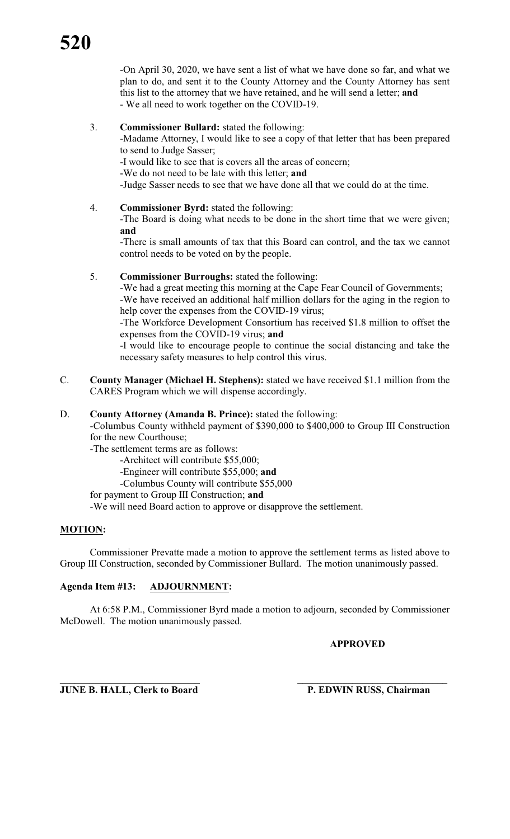-On April 30, 2020, we have sent a list of what we have done so far, and what we plan to do, and sent it to the County Attorney and the County Attorney has sent this list to the attorney that we have retained, and he will send a letter; **and** - We all need to work together on the COVID-19.

#### 3. **Commissioner Bullard:** stated the following:

-Madame Attorney, I would like to see a copy of that letter that has been prepared to send to Judge Sasser;

-I would like to see that is covers all the areas of concern;

-We do not need to be late with this letter; **and**

-Judge Sasser needs to see that we have done all that we could do at the time.

4. **Commissioner Byrd:** stated the following:

-The Board is doing what needs to be done in the short time that we were given; **and**

-There is small amounts of tax that this Board can control, and the tax we cannot control needs to be voted on by the people.

#### 5. **Commissioner Burroughs:** stated the following:

-We had a great meeting this morning at the Cape Fear Council of Governments;

-We have received an additional half million dollars for the aging in the region to help cover the expenses from the COVID-19 virus;

-The Workforce Development Consortium has received \$1.8 million to offset the expenses from the COVID-19 virus; **and**

-I would like to encourage people to continue the social distancing and take the necessary safety measures to help control this virus.

C. **County Manager (Michael H. Stephens):** stated we have received \$1.1 million from the CARES Program which we will dispense accordingly.

#### D. **County Attorney (Amanda B. Prince):** stated the following:

-Columbus County withheld payment of \$390,000 to \$400,000 to Group III Construction for the new Courthouse;

- -The settlement terms are as follows:
	- -Architect will contribute \$55,000;
	- -Engineer will contribute \$55,000; **and**
	- -Columbus County will contribute \$55,000
- for payment to Group III Construction; **and**

-We will need Board action to approve or disapprove the settlement.

#### **MOTION:**

Commissioner Prevatte made a motion to approve the settlement terms as listed above to Group III Construction, seconded by Commissioner Bullard. The motion unanimously passed.

#### **Agenda Item #13: ADJOURNMENT:**

At 6:58 P.M., Commissioner Byrd made a motion to adjourn, seconded by Commissioner McDowell. The motion unanimously passed.

#### **APPROVED**

**\_\_\_\_\_\_\_\_\_\_\_\_\_\_\_\_\_\_\_\_\_\_\_\_\_\_\_\_ \_\_\_\_\_\_\_\_\_\_\_\_\_\_\_\_\_\_\_\_\_\_\_\_\_\_\_\_\_\_ JUNE B. HALL, Clerk to Board P. EDWIN RUSS, Chairman**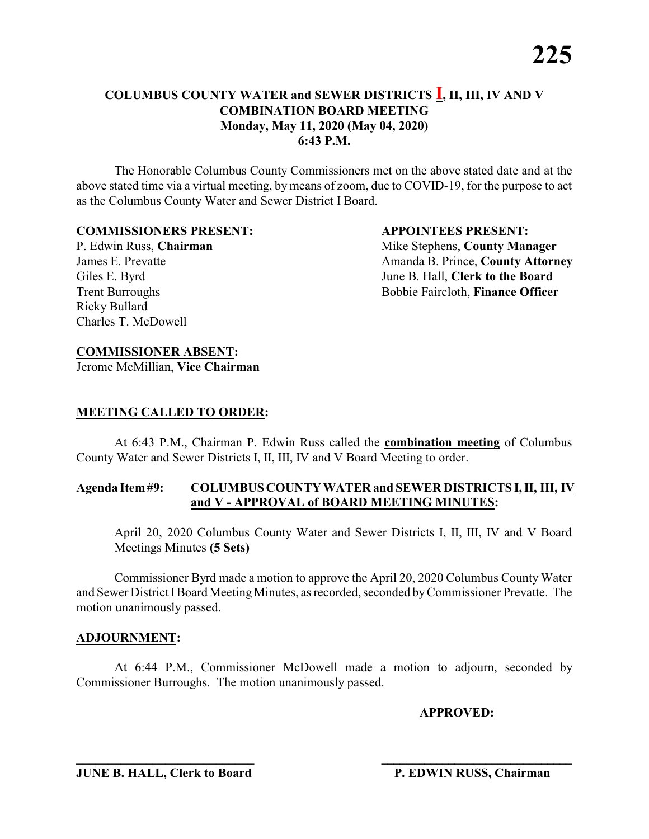The Honorable Columbus County Commissioners met on the above stated date and at the above stated time via a virtual meeting, by means of zoom, due to COVID-19, for the purpose to act as the Columbus County Water and Sewer District I Board.

#### **COMMISSIONERS PRESENT: APPOINTEES PRESENT:**

Ricky Bullard Charles T. McDowell

P. Edwin Russ, **Chairman** Mike Stephens, **County Manager** James E. Prevatte **Amanda B. Prince, County Attorney** Giles E. Byrd **June B. Hall, Clerk to the Board** Trent Burroughs Bobbie Faircloth, **Finance Officer** 

#### **COMMISSIONER ABSENT:**

Jerome McMillian, **Vice Chairman**

#### **MEETING CALLED TO ORDER:**

At 6:43 P.M., Chairman P. Edwin Russ called the **combination meeting** of Columbus County Water and Sewer Districts I, II, III, IV and V Board Meeting to order.

#### **Agenda Item#9: COLUMBUS COUNTY WATER and SEWER DISTRICTS I, II, III, IV and V - APPROVAL of BOARD MEETING MINUTES:**

April 20, 2020 Columbus County Water and Sewer Districts I, II, III, IV and V Board Meetings Minutes **(5 Sets)**

Commissioner Byrd made a motion to approve the April 20, 2020 Columbus County Water and Sewer District IBoard MeetingMinutes, as recorded, seconded byCommissioner Prevatte. The motion unanimously passed.

#### **ADJOURNMENT:**

At 6:44 P.M., Commissioner McDowell made a motion to adjourn, seconded by Commissioner Burroughs. The motion unanimously passed.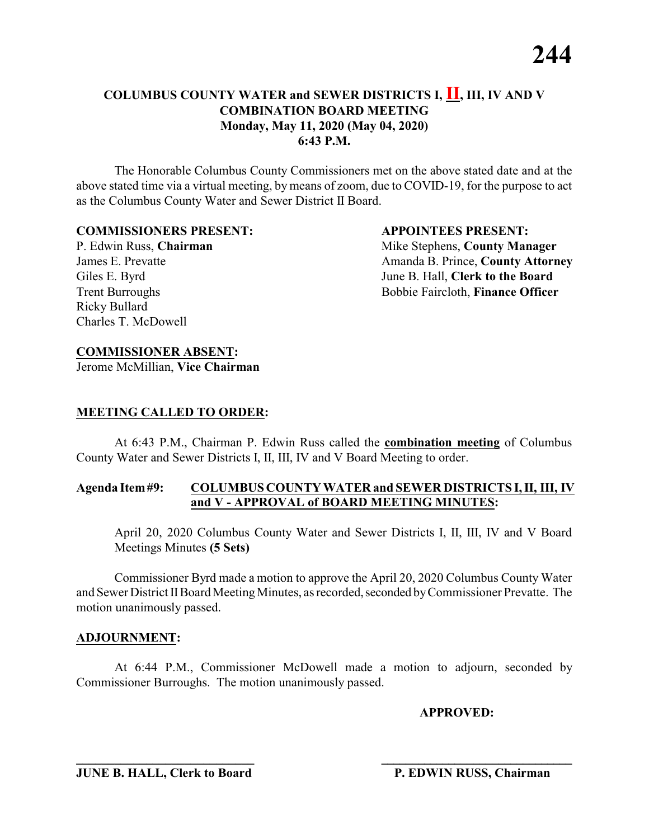The Honorable Columbus County Commissioners met on the above stated date and at the above stated time via a virtual meeting, by means of zoom, due to COVID-19, for the purpose to act as the Columbus County Water and Sewer District II Board.

#### **COMMISSIONERS PRESENT: APPOINTEES PRESENT:**

Ricky Bullard Charles T. McDowell

P. Edwin Russ, **Chairman** Mike Stephens, **County Manager** James E. Prevatte **Amanda B. Prince, County Attorney** Giles E. Byrd **June B. Hall, Clerk to the Board** Trent Burroughs Bobbie Faircloth, **Finance Officer** 

#### **COMMISSIONER ABSENT:**

Jerome McMillian, **Vice Chairman**

#### **MEETING CALLED TO ORDER:**

At 6:43 P.M., Chairman P. Edwin Russ called the **combination meeting** of Columbus County Water and Sewer Districts I, II, III, IV and V Board Meeting to order.

#### **Agenda Item#9: COLUMBUS COUNTY WATER and SEWER DISTRICTS I, II, III, IV and V - APPROVAL of BOARD MEETING MINUTES:**

April 20, 2020 Columbus County Water and Sewer Districts I, II, III, IV and V Board Meetings Minutes **(5 Sets)**

Commissioner Byrd made a motion to approve the April 20, 2020 Columbus County Water and Sewer District II Board Meeting Minutes, as recorded, seconded by Commissioner Prevatte. The motion unanimously passed.

#### **ADJOURNMENT:**

At 6:44 P.M., Commissioner McDowell made a motion to adjourn, seconded by Commissioner Burroughs. The motion unanimously passed.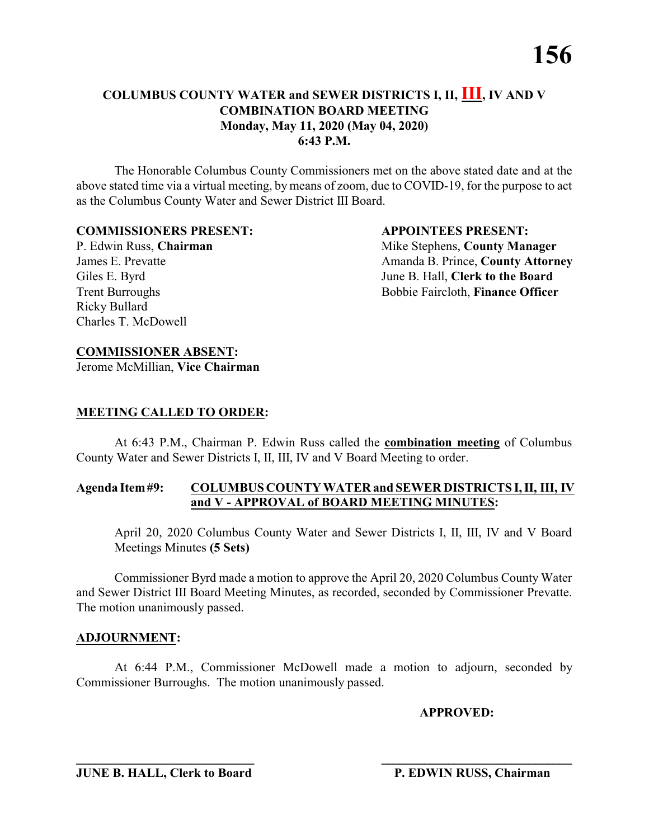The Honorable Columbus County Commissioners met on the above stated date and at the above stated time via a virtual meeting, by means of zoom, due to COVID-19, for the purpose to act as the Columbus County Water and Sewer District III Board.

#### **COMMISSIONERS PRESENT: APPOINTEES PRESENT:**

Ricky Bullard Charles T. McDowell

P. Edwin Russ, **Chairman** Mike Stephens, **County Manager** James E. Prevatte **Amanda B. Prince, County Attorney** Giles E. Byrd **June B. Hall, Clerk to the Board** Trent Burroughs Bobbie Faircloth, **Finance Officer** 

#### **COMMISSIONER ABSENT:**

Jerome McMillian, **Vice Chairman**

#### **MEETING CALLED TO ORDER:**

At 6:43 P.M., Chairman P. Edwin Russ called the **combination meeting** of Columbus County Water and Sewer Districts I, II, III, IV and V Board Meeting to order.

#### **Agenda Item#9: COLUMBUS COUNTY WATER and SEWER DISTRICTS I, II, III, IV and V - APPROVAL of BOARD MEETING MINUTES:**

April 20, 2020 Columbus County Water and Sewer Districts I, II, III, IV and V Board Meetings Minutes **(5 Sets)**

Commissioner Byrd made a motion to approve the April 20, 2020 Columbus County Water and Sewer District III Board Meeting Minutes, as recorded, seconded by Commissioner Prevatte. The motion unanimously passed.

#### **ADJOURNMENT:**

At 6:44 P.M., Commissioner McDowell made a motion to adjourn, seconded by Commissioner Burroughs. The motion unanimously passed.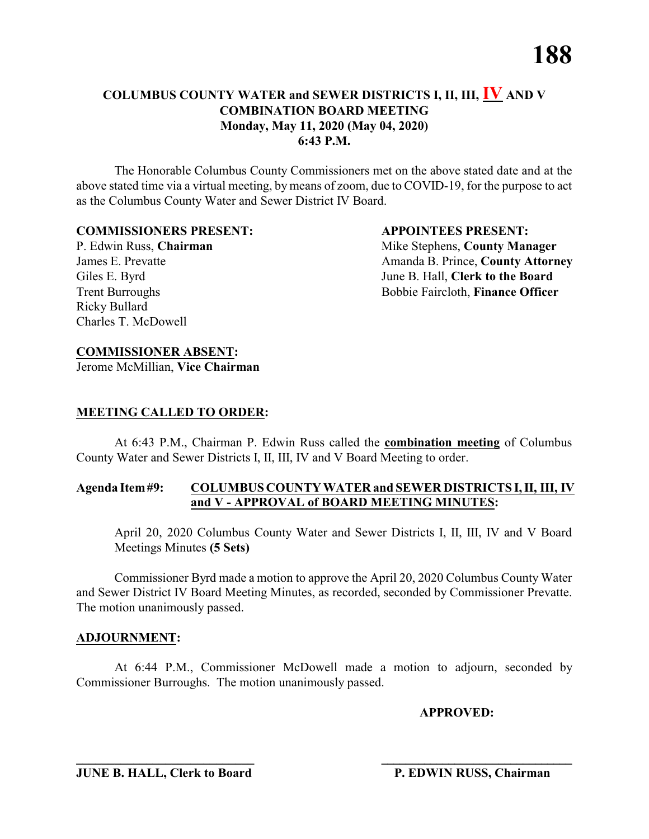The Honorable Columbus County Commissioners met on the above stated date and at the above stated time via a virtual meeting, by means of zoom, due to COVID-19, for the purpose to act as the Columbus County Water and Sewer District IV Board.

#### **COMMISSIONERS PRESENT: APPOINTEES PRESENT:**

Ricky Bullard Charles T. McDowell

P. Edwin Russ, **Chairman** Mike Stephens, **County Manager** James E. Prevatte **Amanda B. Prince, County Attorney** Giles E. Byrd **June B. Hall, Clerk to the Board** Trent Burroughs Bobbie Faircloth, **Finance Officer** 

#### **COMMISSIONER ABSENT:**

Jerome McMillian, **Vice Chairman**

#### **MEETING CALLED TO ORDER:**

At 6:43 P.M., Chairman P. Edwin Russ called the **combination meeting** of Columbus County Water and Sewer Districts I, II, III, IV and V Board Meeting to order.

#### **Agenda Item#9: COLUMBUS COUNTY WATER and SEWER DISTRICTS I, II, III, IV and V - APPROVAL of BOARD MEETING MINUTES:**

April 20, 2020 Columbus County Water and Sewer Districts I, II, III, IV and V Board Meetings Minutes **(5 Sets)**

Commissioner Byrd made a motion to approve the April 20, 2020 Columbus County Water and Sewer District IV Board Meeting Minutes, as recorded, seconded by Commissioner Prevatte. The motion unanimously passed.

#### **ADJOURNMENT:**

At 6:44 P.M., Commissioner McDowell made a motion to adjourn, seconded by Commissioner Burroughs. The motion unanimously passed.